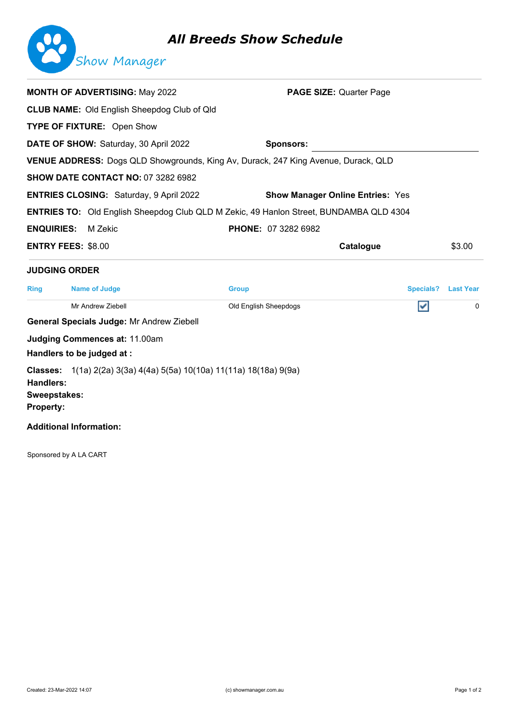## *All Breeds Show Schedule*



|                                                                         | <b>MONTH OF ADVERTISING: May 2022</b>                                                         | <b>PAGE SIZE: Quarter Page</b>          |           |                  |
|-------------------------------------------------------------------------|-----------------------------------------------------------------------------------------------|-----------------------------------------|-----------|------------------|
|                                                                         | <b>CLUB NAME:</b> Old English Sheepdog Club of Qld                                            |                                         |           |                  |
| <b>TYPE OF FIXTURE: Open Show</b>                                       |                                                                                               |                                         |           |                  |
|                                                                         | DATE OF SHOW: Saturday, 30 April 2022                                                         | <b>Sponsors:</b>                        |           |                  |
|                                                                         | VENUE ADDRESS: Dogs QLD Showgrounds, King Av, Durack, 247 King Avenue, Durack, QLD            |                                         |           |                  |
|                                                                         | <b>SHOW DATE CONTACT NO: 07 3282 6982</b>                                                     |                                         |           |                  |
|                                                                         | <b>ENTRIES CLOSING: Saturday, 9 April 2022</b>                                                | <b>Show Manager Online Entries: Yes</b> |           |                  |
|                                                                         | <b>ENTRIES TO:</b> Old English Sheepdog Club QLD M Zekic, 49 Hanlon Street, BUNDAMBA QLD 4304 |                                         |           |                  |
| <b>ENQUIRIES:</b>                                                       | M Zekic                                                                                       | <b>PHONE: 07 3282 6982</b>              |           |                  |
| <b>ENTRY FEES: \$8.00</b>                                               |                                                                                               |                                         | Catalogue | \$3.00           |
| <b>JUDGING ORDER</b>                                                    |                                                                                               |                                         |           |                  |
| <b>Name of Judge</b><br><b>Ring</b>                                     |                                                                                               | <b>Group</b>                            | Specials? | <b>Last Year</b> |
|                                                                         | Mr Andrew Ziebell                                                                             | Old English Sheepdogs                   | V         | $\mathbf{0}$     |
|                                                                         | <b>General Specials Judge: Mr Andrew Ziebell</b>                                              |                                         |           |                  |
| <b>Judging Commences at: 11.00am</b>                                    |                                                                                               |                                         |           |                  |
|                                                                         |                                                                                               |                                         |           |                  |
| Handlers to be judged at :                                              |                                                                                               |                                         |           |                  |
| <b>Classes:</b><br><b>Handlers:</b><br>Sweepstakes:<br><b>Property:</b> | 1(1a) 2(2a) 3(3a) 4(4a) 5(5a) 10(10a) 11(11a) 18(18a) 9(9a)                                   |                                         |           |                  |

Sponsored by A LA CART